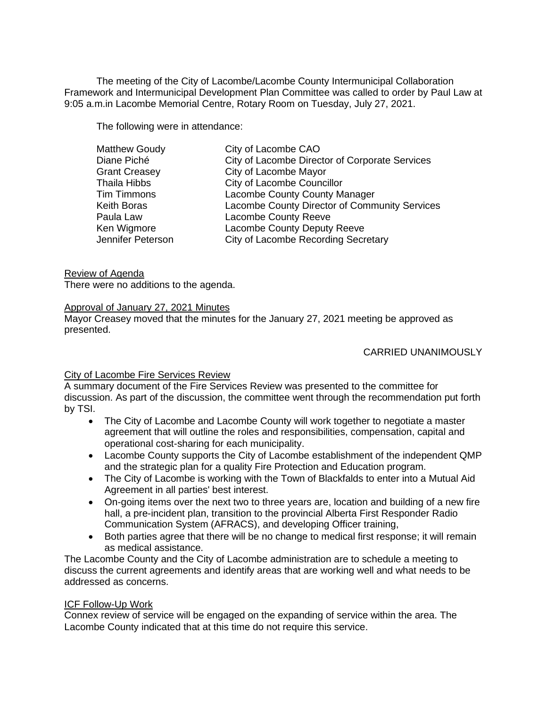The meeting of the City of Lacombe/Lacombe County Intermunicipal Collaboration Framework and Intermunicipal Development Plan Committee was called to order by Paul Law at 9:05 a.m.in Lacombe Memorial Centre, Rotary Room on Tuesday, July 27, 2021.

The following were in attendance:

| <b>Matthew Goudy</b> | City of Lacombe CAO                            |
|----------------------|------------------------------------------------|
| Diane Piché          | City of Lacombe Director of Corporate Services |
| <b>Grant Creasey</b> | City of Lacombe Mayor                          |
| <b>Thaila Hibbs</b>  | City of Lacombe Councillor                     |
| <b>Tim Timmons</b>   | <b>Lacombe County County Manager</b>           |
| Keith Boras          | Lacombe County Director of Community Services  |
| Paula Law            | Lacombe County Reeve                           |
| Ken Wigmore          | Lacombe County Deputy Reeve                    |
| Jennifer Peterson    | City of Lacombe Recording Secretary            |

Review of Agenda There were no additions to the agenda.

Approval of January 27, 2021 Minutes

Mayor Creasey moved that the minutes for the January 27, 2021 meeting be approved as presented.

## CARRIED UNANIMOUSLY

## City of Lacombe Fire Services Review

A summary document of the Fire Services Review was presented to the committee for discussion. As part of the discussion, the committee went through the recommendation put forth by TSI.

- The City of Lacombe and Lacombe County will work together to negotiate a master agreement that will outline the roles and responsibilities, compensation, capital and operational cost-sharing for each municipality.
- Lacombe County supports the City of Lacombe establishment of the independent QMP and the strategic plan for a quality Fire Protection and Education program.
- The City of Lacombe is working with the Town of Blackfalds to enter into a Mutual Aid Agreement in all parties' best interest.
- On-going items over the next two to three years are, location and building of a new fire hall, a pre-incident plan, transition to the provincial Alberta First Responder Radio Communication System (AFRACS), and developing Officer training,
- Both parties agree that there will be no change to medical first response; it will remain as medical assistance.

The Lacombe County and the City of Lacombe administration are to schedule a meeting to discuss the current agreements and identify areas that are working well and what needs to be addressed as concerns.

## ICF Follow-Up Work

Connex review of service will be engaged on the expanding of service within the area. The Lacombe County indicated that at this time do not require this service.